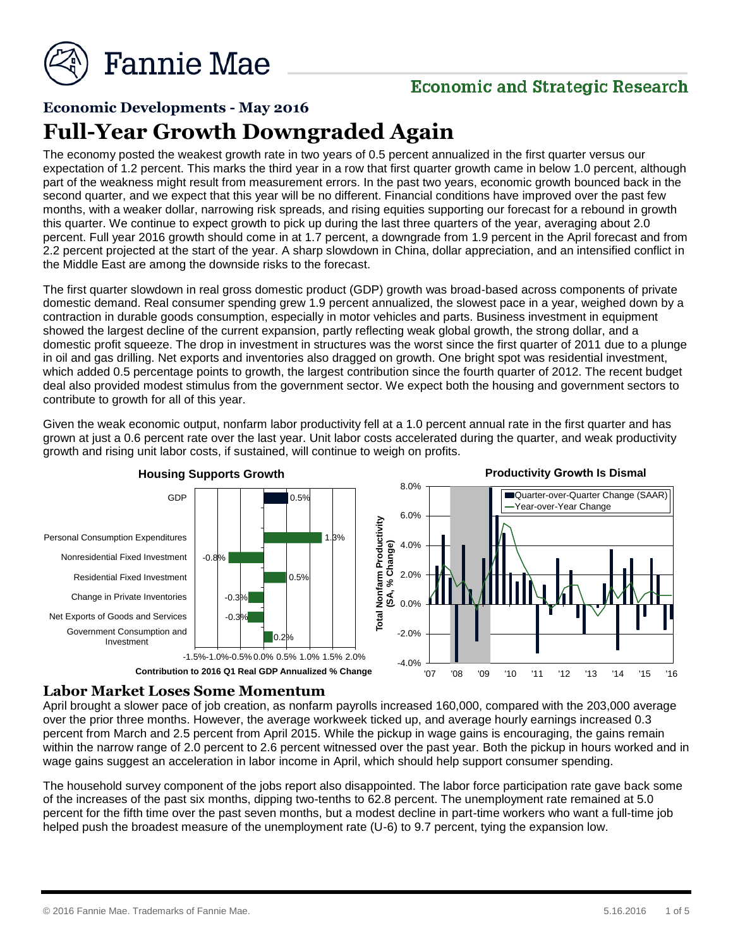

# **Economic and Strategic Research**

## **Economic Developments - May 2016**

# **Full-Year Growth Downgraded Again**

The economy posted the weakest growth rate in two years of 0.5 percent annualized in the first quarter versus our expectation of 1.2 percent. This marks the third year in a row that first quarter growth came in below 1.0 percent, although part of the weakness might result from measurement errors. In the past two years, economic growth bounced back in the second quarter, and we expect that this year will be no different. Financial conditions have improved over the past few months, with a weaker dollar, narrowing risk spreads, and rising equities supporting our forecast for a rebound in growth this quarter. We continue to expect growth to pick up during the last three quarters of the year, averaging about 2.0 percent. Full year 2016 growth should come in at 1.7 percent, a downgrade from 1.9 percent in the April forecast and from 2.2 percent projected at the start of the year. A sharp slowdown in China, dollar appreciation, and an intensified conflict in the Middle East are among the downside risks to the forecast.

The first quarter slowdown in real gross domestic product (GDP) growth was broad-based across components of private domestic demand. Real consumer spending grew 1.9 percent annualized, the slowest pace in a year, weighed down by a contraction in durable goods consumption, especially in motor vehicles and parts. Business investment in equipment showed the largest decline of the current expansion, partly reflecting weak global growth, the strong dollar, and a domestic profit squeeze. The drop in investment in structures was the worst since the first quarter of 2011 due to a plunge in oil and gas drilling. Net exports and inventories also dragged on growth. One bright spot was residential investment, which added 0.5 percentage points to growth, the largest contribution since the fourth quarter of 2012. The recent budget deal also provided modest stimulus from the government sector. We expect both the housing and government sectors to contribute to growth for all of this year.

Given the weak economic output, nonfarm labor productivity fell at a 1.0 percent annual rate in the first quarter and has grown at just a 0.6 percent rate over the last year. Unit labor costs accelerated during the quarter, and weak productivity growth and rising unit labor costs, if sustained, will continue to weigh on profits.



#### **Labor Market Loses Some Momentum**

April brought a slower pace of job creation, as nonfarm payrolls increased 160,000, compared with the 203,000 average over the prior three months. However, the average workweek ticked up, and average hourly earnings increased 0.3 percent from March and 2.5 percent from April 2015. While the pickup in wage gains is encouraging, the gains remain within the narrow range of 2.0 percent to 2.6 percent witnessed over the past year. Both the pickup in hours worked and in wage gains suggest an acceleration in labor income in April, which should help support consumer spending.

The household survey component of the jobs report also disappointed. The labor force participation rate gave back some of the increases of the past six months, dipping two-tenths to 62.8 percent. The unemployment rate remained at 5.0 percent for the fifth time over the past seven months, but a modest decline in part-time workers who want a full-time job helped push the broadest measure of the unemployment rate (U-6) to 9.7 percent, tying the expansion low.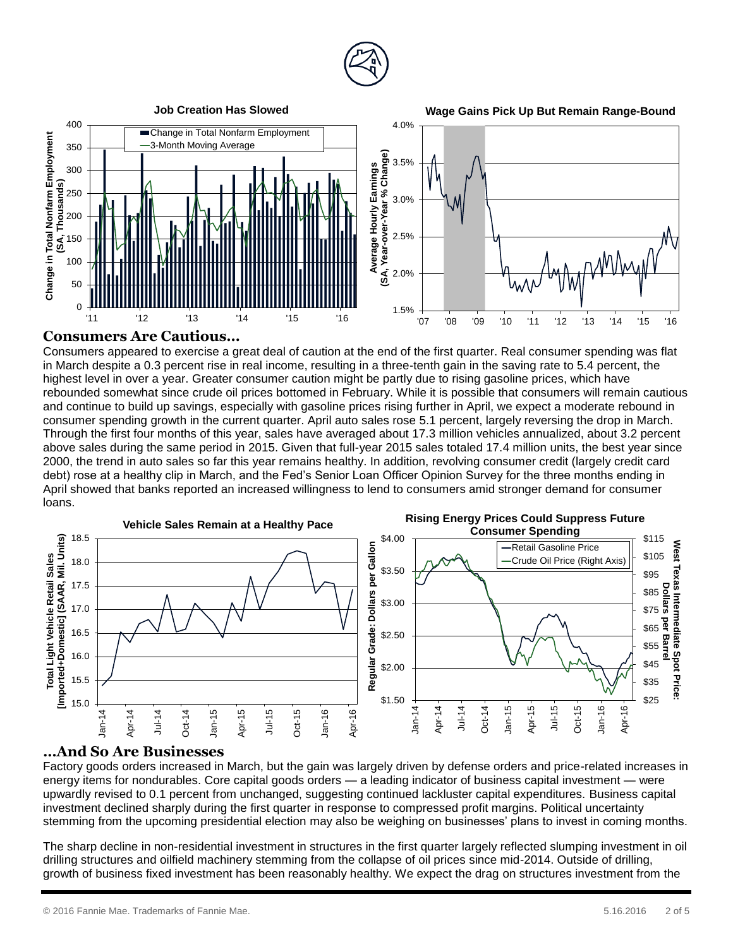



#### **Consumers Are Cautious…**

Consumers appeared to exercise a great deal of caution at the end of the first quarter. Real consumer spending was flat in March despite a 0.3 percent rise in real income, resulting in a three-tenth gain in the saving rate to 5.4 percent, the highest level in over a year. Greater consumer caution might be partly due to rising gasoline prices, which have rebounded somewhat since crude oil prices bottomed in February. While it is possible that consumers will remain cautious and continue to build up savings, especially with gasoline prices rising further in April, we expect a moderate rebound in consumer spending growth in the current quarter. April auto sales rose 5.1 percent, largely reversing the drop in March. Through the first four months of this year, sales have averaged about 17.3 million vehicles annualized, about 3.2 percent above sales during the same period in 2015. Given that full-year 2015 sales totaled 17.4 million units, the best year since 2000, the trend in auto sales so far this year remains healthy. In addition, revolving consumer credit (largely credit card debt) rose at a healthy clip in March, and the Fed's Senior Loan Officer Opinion Survey for the three months ending in April showed that banks reported an increased willingness to lend to consumers amid stronger demand for consumer loans.



#### **…And So Are Businesses**

Factory goods orders increased in March, but the gain was largely driven by defense orders and price-related increases in energy items for nondurables. Core capital goods orders — a leading indicator of business capital investment — were upwardly revised to 0.1 percent from unchanged, suggesting continued lackluster capital expenditures. Business capital investment declined sharply during the first quarter in response to compressed profit margins. Political uncertainty stemming from the upcoming presidential election may also be weighing on businesses' plans to invest in coming months.

The sharp decline in non-residential investment in structures in the first quarter largely reflected slumping investment in oil drilling structures and oilfield machinery stemming from the collapse of oil prices since mid-2014. Outside of drilling, growth of business fixed investment has been reasonably healthy. We expect the drag on structures investment from the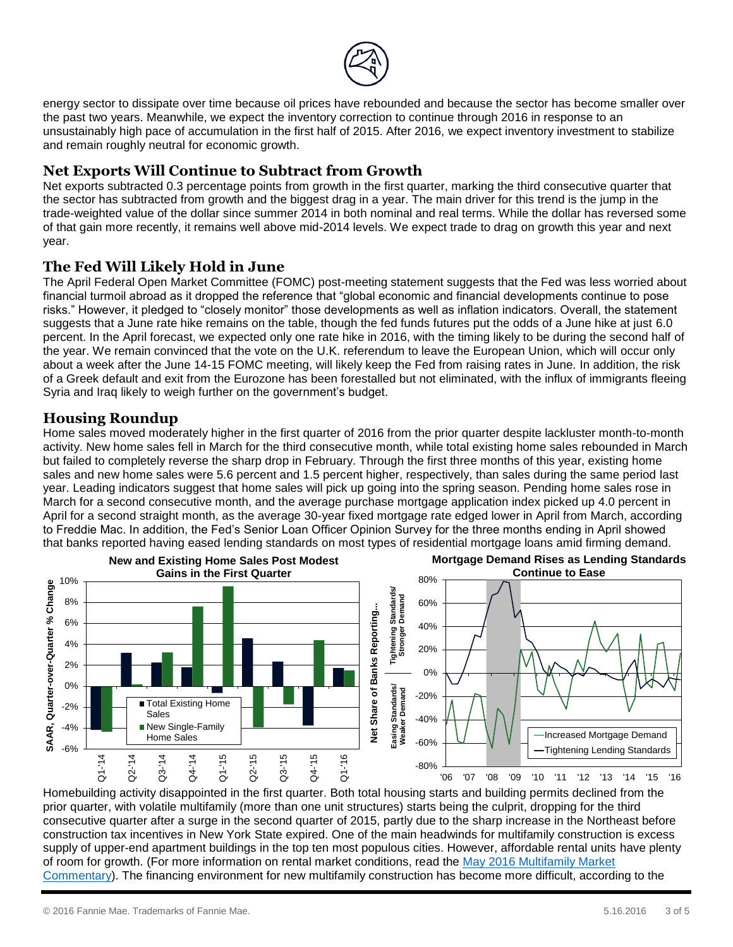

energy sector to dissipate over time because oil prices have rebounded and because the sector has become smaller over the past two years. Meanwhile, we expect the inventory correction to continue through 2016 in response to an unsustainably high pace of accumulation in the first half of 2015. After 2016, we expect inventory investment to stabilize and remain roughly neutral for economic growth.

### **Net Exports Will Continue to Subtract from Growth**

Net exports subtracted 0.3 percentage points from growth in the first quarter, marking the third consecutive quarter that the sector has subtracted from growth and the biggest drag in a year. The main driver for this trend is the jump in the trade-weighted value of the dollar since summer 2014 in both nominal and real terms. While the dollar has reversed some of that gain more recently, it remains well above mid-2014 levels. We expect trade to drag on growth this year and next year.

## **The Fed Will Likely Hold in June**

The April Federal Open Market Committee (FOMC) post-meeting statement suggests that the Fed was less worried about financial turmoil abroad as it dropped the reference that "global economic and financial developments continue to pose risks." However, it pledged to "closely monitor" those developments as well as inflation indicators. Overall, the statement suggests that a June rate hike remains on the table, though the fed funds futures put the odds of a June hike at just 6.0 percent. In the April forecast, we expected only one rate hike in 2016, with the timing likely to be during the second half of the year. We remain convinced that the vote on the U.K. referendum to leave the European Union, which will occur only about a week after the June 14-15 FOMC meeting, will likely keep the Fed from raising rates in June. In addition, the risk of a Greek default and exit from the Eurozone has been forestalled but not eliminated, with the influx of immigrants fleeing Syria and Iraq likely to weigh further on the government's budget.

#### **Housing Roundup**

Home sales moved moderately higher in the first quarter of 2016 from the prior quarter despite lackluster month-to-month activity. New home sales fell in March for the third consecutive month, while total existing home sales rebounded in March but failed to completely reverse the sharp drop in February. Through the first three months of this year, existing home sales and new home sales were 5.6 percent and 1.5 percent higher, respectively, than sales during the same period last year. Leading indicators suggest that home sales will pick up going into the spring season. Pending home sales rose in March for a second consecutive month, and the average purchase mortgage application index picked up 4.0 percent in April for a second straight month, as the average 30-year fixed mortgage rate edged lower in April from March, according to Freddie Mac. In addition, the Fed's Senior Loan Officer Opinion Survey for the three months ending in April showed that banks reported having eased lending standards on most types of residential mortgage loans amid firming demand.



Homebuilding activity disappointed in the first quarter. Both total housing starts and building permits declined from the prior quarter, with volatile multifamily (more than one unit structures) starts being the culprit, dropping for the third consecutive quarter after a surge in the second quarter of 2015, partly due to the sharp increase in the Northeast before construction tax incentives in New York State expired. One of the main headwinds for multifamily construction is excess supply of upper-end apartment buildings in the top ten most populous cities. However, affordable rental units have plenty of room for growth. (For more information on rental market conditions, read the [May 2016 Multifamily Market](http://www.fanniemae.com/resources/file/research/emma/pdf/MF_Market_Commentary_051716.pdf)  [Commentary\)](http://www.fanniemae.com/resources/file/research/emma/pdf/MF_Market_Commentary_051716.pdf). The financing environment for new multifamily construction has become more difficult, according to the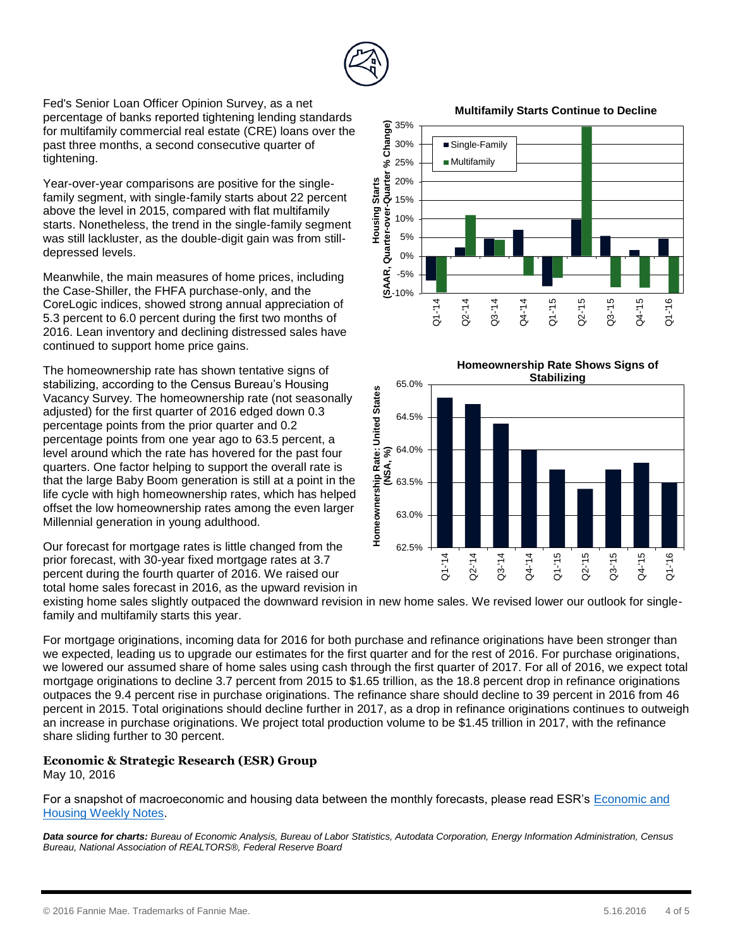

Fed's Senior Loan Officer Opinion Survey, as a net percentage of banks reported tightening lending standards for multifamily commercial real estate (CRE) loans over the past three months, a second consecutive quarter of tightening.

Year-over-year comparisons are positive for the singlefamily segment, with single-family starts about 22 percent above the level in 2015, compared with flat multifamily starts. Nonetheless, the trend in the single-family segment was still lackluster, as the double-digit gain was from stilldepressed levels.

Meanwhile, the main measures of home prices, including the Case-Shiller, the FHFA purchase-only, and the CoreLogic indices, showed strong annual appreciation of 5.3 percent to 6.0 percent during the first two months of 2016. Lean inventory and declining distressed sales have continued to support home price gains.

The homeownership rate has shown tentative signs of stabilizing, according to the Census Bureau's Housing Vacancy Survey. The homeownership rate (not seasonally adjusted) for the first quarter of 2016 edged down 0.3 percentage points from the prior quarter and 0.2 percentage points from one year ago to 63.5 percent, a level around which the rate has hovered for the past four quarters. One factor helping to support the overall rate is that the large Baby Boom generation is still at a point in the life cycle with high homeownership rates, which has helped offset the low homeownership rates among the even larger Millennial generation in young adulthood.

Our forecast for mortgage rates is little changed from the prior forecast, with 30-year fixed mortgage rates at 3.7 percent during the fourth quarter of 2016. We raised our total home sales forecast in 2016, as the upward revision in

**Multifamily Starts Continue to Decline**





existing home sales slightly outpaced the downward revision in new home sales. We revised lower our outlook for singlefamily and multifamily starts this year.

For mortgage originations, incoming data for 2016 for both purchase and refinance originations have been stronger than we expected, leading us to upgrade our estimates for the first quarter and for the rest of 2016. For purchase originations, we lowered our assumed share of home sales using cash through the first quarter of 2017. For all of 2016, we expect total mortgage originations to decline 3.7 percent from 2015 to \$1.65 trillion, as the 18.8 percent drop in refinance originations outpaces the 9.4 percent rise in purchase originations. The refinance share should decline to 39 percent in 2016 from 46 percent in 2015. Total originations should decline further in 2017, as a drop in refinance originations continues to outweigh an increase in purchase originations. We project total production volume to be \$1.45 trillion in 2017, with the refinance share sliding further to 30 percent.

#### **Economic & Strategic Research (ESR) Group** May 10, 2016

For a snapshot of macroeconomic and housing data between the monthly forecasts, please read ESR's [Economic and](http://www.fanniemae.com/portal/research-and-analysis/emma.html?)  [Housing Weekly Notes.](http://www.fanniemae.com/portal/research-and-analysis/emma.html?)

*Data source for charts: Bureau of Economic Analysis, Bureau of Labor Statistics, Autodata Corporation, Energy Information Administration, Census Bureau, National Association of REALTORS®, Federal Reserve Board*